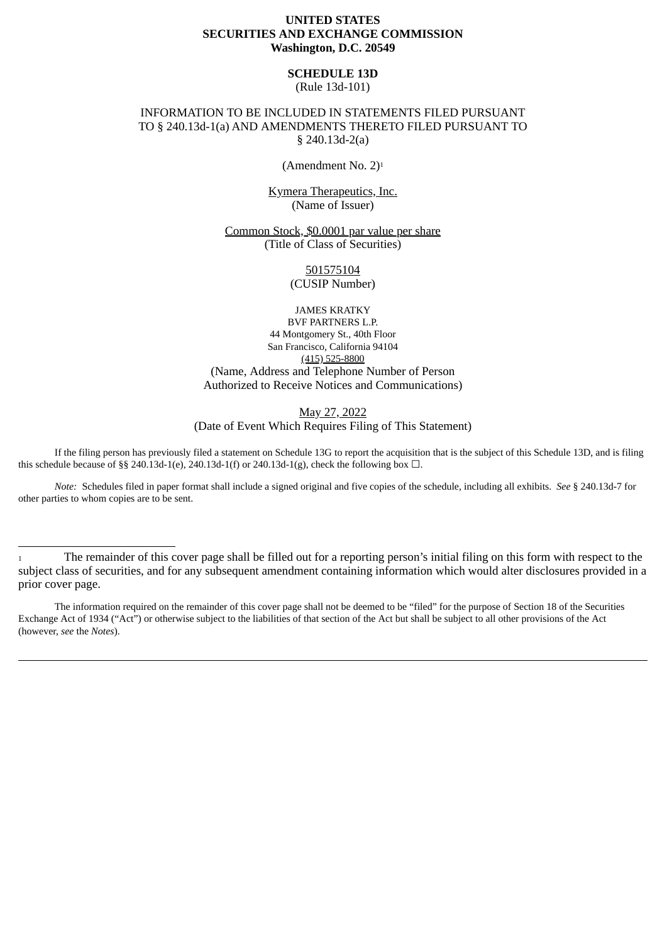# **UNITED STATES SECURITIES AND EXCHANGE COMMISSION Washington, D.C. 20549**

**SCHEDULE 13D** (Rule 13d-101)

## INFORMATION TO BE INCLUDED IN STATEMENTS FILED PURSUANT TO § 240.13d-1(a) AND AMENDMENTS THERETO FILED PURSUANT TO § 240.13d-2(a)

(Amendment No. 2)<sup>1</sup>

Kymera Therapeutics, Inc. (Name of Issuer)

Common Stock, \$0.0001 par value per share (Title of Class of Securities)

> 501575104 (CUSIP Number)

JAMES KRATKY BVF PARTNERS L.P. 44 Montgomery St., 40th Floor San Francisco, California 94104 (415) 525-8800 (Name, Address and Telephone Number of Person Authorized to Receive Notices and Communications)

May 27, 2022

(Date of Event Which Requires Filing of This Statement)

If the filing person has previously filed a statement on Schedule 13G to report the acquisition that is the subject of this Schedule 13D, and is filing this schedule because of §§ 240.13d-1(e), 240.13d-1(f) or 240.13d-1(g), check the following box  $\Box$ .

*Note:* Schedules filed in paper format shall include a signed original and five copies of the schedule, including all exhibits. *See* § 240.13d-7 for other parties to whom copies are to be sent.

<sup>1</sup> The remainder of this cover page shall be filled out for a reporting person's initial filing on this form with respect to the subject class of securities, and for any subsequent amendment containing information which would alter disclosures provided in a prior cover page.

The information required on the remainder of this cover page shall not be deemed to be "filed" for the purpose of Section 18 of the Securities Exchange Act of 1934 ("Act") or otherwise subject to the liabilities of that section of the Act but shall be subject to all other provisions of the Act (however, *see* the *Notes*).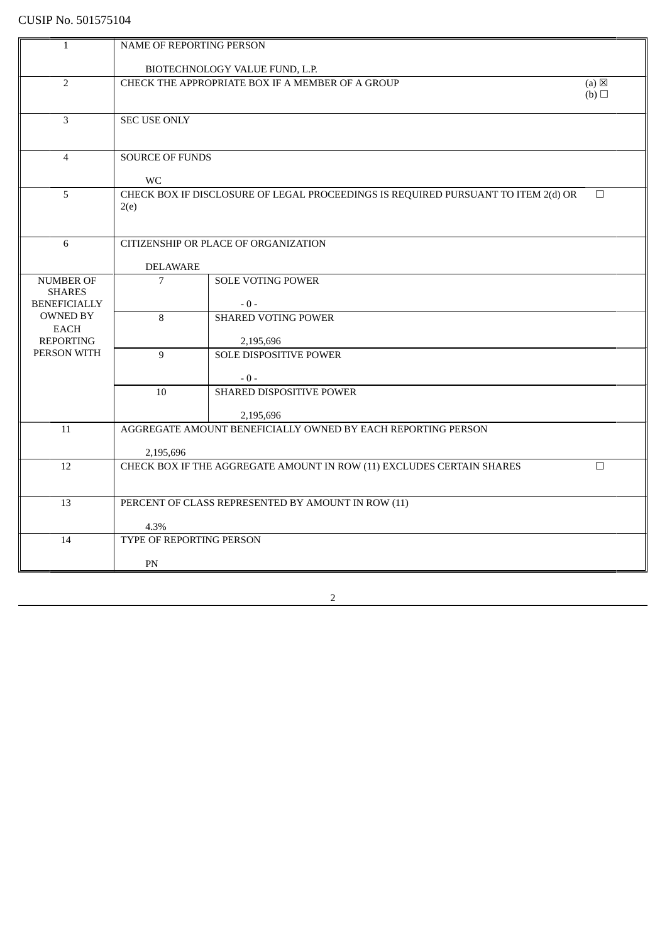| 1                                 | NAME OF REPORTING PERSON                                                        |                                                                                    |                 |  |
|-----------------------------------|---------------------------------------------------------------------------------|------------------------------------------------------------------------------------|-----------------|--|
|                                   |                                                                                 |                                                                                    |                 |  |
| $\overline{2}$                    |                                                                                 | BIOTECHNOLOGY VALUE FUND, L.P.<br>CHECK THE APPROPRIATE BOX IF A MEMBER OF A GROUP | $(a) \boxtimes$ |  |
|                                   | (b)                                                                             |                                                                                    |                 |  |
|                                   |                                                                                 |                                                                                    |                 |  |
| 3                                 | <b>SEC USE ONLY</b>                                                             |                                                                                    |                 |  |
|                                   |                                                                                 |                                                                                    |                 |  |
| $\overline{4}$                    | <b>SOURCE OF FUNDS</b>                                                          |                                                                                    |                 |  |
|                                   |                                                                                 |                                                                                    |                 |  |
|                                   | <b>WC</b>                                                                       |                                                                                    |                 |  |
| 5                                 |                                                                                 | CHECK BOX IF DISCLOSURE OF LEGAL PROCEEDINGS IS REQUIRED PURSUANT TO ITEM 2(d) OR  | $\Box$          |  |
|                                   | 2(e)                                                                            |                                                                                    |                 |  |
|                                   |                                                                                 |                                                                                    |                 |  |
| 6                                 |                                                                                 | CITIZENSHIP OR PLACE OF ORGANIZATION                                               |                 |  |
|                                   |                                                                                 |                                                                                    |                 |  |
|                                   | <b>DELAWARE</b>                                                                 |                                                                                    |                 |  |
| <b>NUMBER OF</b><br><b>SHARES</b> | $\overline{7}$                                                                  | <b>SOLE VOTING POWER</b>                                                           |                 |  |
| <b>BENEFICIALLY</b>               |                                                                                 | $-0-$                                                                              |                 |  |
| <b>OWNED BY</b>                   | 8                                                                               | <b>SHARED VOTING POWER</b>                                                         |                 |  |
| EACH                              |                                                                                 |                                                                                    |                 |  |
| <b>REPORTING</b>                  |                                                                                 | 2,195,696                                                                          |                 |  |
| PERSON WITH                       | 9                                                                               | <b>SOLE DISPOSITIVE POWER</b>                                                      |                 |  |
|                                   |                                                                                 | $-0-$                                                                              |                 |  |
|                                   | 10                                                                              | <b>SHARED DISPOSITIVE POWER</b>                                                    |                 |  |
|                                   |                                                                                 |                                                                                    |                 |  |
|                                   |                                                                                 | 2,195,696                                                                          |                 |  |
| 11                                |                                                                                 | AGGREGATE AMOUNT BENEFICIALLY OWNED BY EACH REPORTING PERSON                       |                 |  |
|                                   | 2,195,696                                                                       |                                                                                    |                 |  |
| 12                                | CHECK BOX IF THE AGGREGATE AMOUNT IN ROW (11) EXCLUDES CERTAIN SHARES<br>$\Box$ |                                                                                    |                 |  |
|                                   |                                                                                 |                                                                                    |                 |  |
|                                   |                                                                                 |                                                                                    |                 |  |
| 13                                |                                                                                 | PERCENT OF CLASS REPRESENTED BY AMOUNT IN ROW (11)                                 |                 |  |
|                                   | 4.3%                                                                            |                                                                                    |                 |  |
| 14                                | TYPE OF REPORTING PERSON                                                        |                                                                                    |                 |  |
|                                   |                                                                                 |                                                                                    |                 |  |
|                                   | PN                                                                              |                                                                                    |                 |  |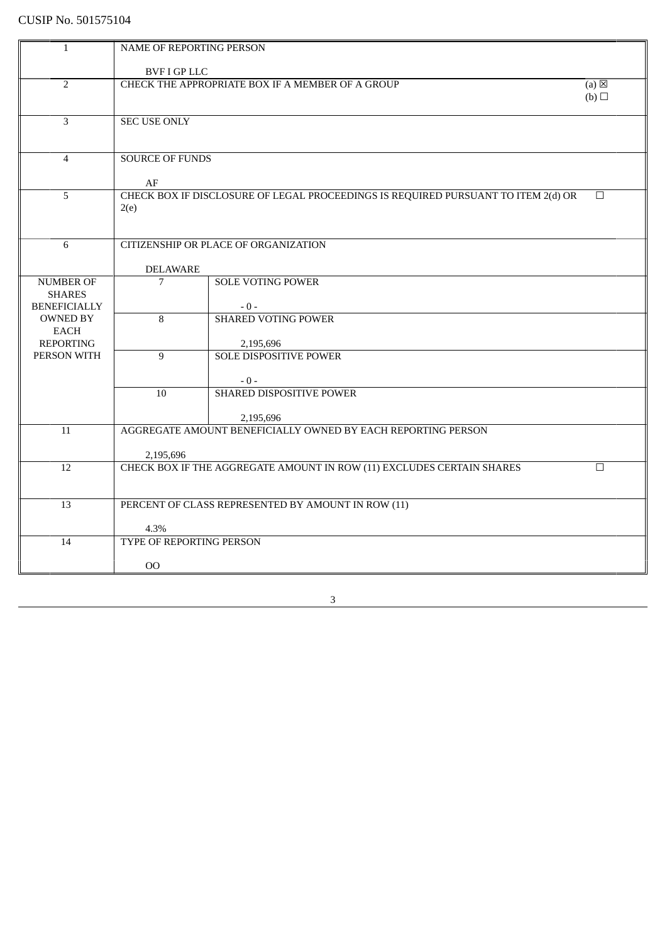| $\mathbf{1}$                    | NAME OF REPORTING PERSON                                                        |                                                                                   |        |  |
|---------------------------------|---------------------------------------------------------------------------------|-----------------------------------------------------------------------------------|--------|--|
|                                 |                                                                                 | <b>BVF I GP LLC</b>                                                               |        |  |
| $\overline{2}$                  |                                                                                 | CHECK THE APPROPRIATE BOX IF A MEMBER OF A GROUP<br>$(a) \boxtimes$               |        |  |
|                                 | (b)                                                                             |                                                                                   |        |  |
|                                 |                                                                                 |                                                                                   |        |  |
| 3                               | <b>SEC USE ONLY</b>                                                             |                                                                                   |        |  |
|                                 |                                                                                 |                                                                                   |        |  |
|                                 |                                                                                 |                                                                                   |        |  |
| $\overline{4}$                  | <b>SOURCE OF FUNDS</b>                                                          |                                                                                   |        |  |
|                                 | AF                                                                              |                                                                                   |        |  |
| 5                               |                                                                                 | CHECK BOX IF DISCLOSURE OF LEGAL PROCEEDINGS IS REQUIRED PURSUANT TO ITEM 2(d) OR | $\Box$ |  |
|                                 | 2(e)                                                                            |                                                                                   |        |  |
|                                 |                                                                                 |                                                                                   |        |  |
|                                 |                                                                                 |                                                                                   |        |  |
| 6                               |                                                                                 | <b>CITIZENSHIP OR PLACE OF ORGANIZATION</b>                                       |        |  |
|                                 | <b>DELAWARE</b>                                                                 |                                                                                   |        |  |
| <b>NUMBER OF</b>                | 7                                                                               | <b>SOLE VOTING POWER</b>                                                          |        |  |
| <b>SHARES</b>                   |                                                                                 |                                                                                   |        |  |
| <b>BENEFICIALLY</b>             |                                                                                 | $-0-$                                                                             |        |  |
| <b>OWNED BY</b>                 | 8                                                                               | <b>SHARED VOTING POWER</b>                                                        |        |  |
| <b>EACH</b><br><b>REPORTING</b> |                                                                                 |                                                                                   |        |  |
| PERSON WITH                     | 9                                                                               | 2,195,696<br><b>SOLE DISPOSITIVE POWER</b>                                        |        |  |
|                                 |                                                                                 |                                                                                   |        |  |
|                                 |                                                                                 | $-0-$                                                                             |        |  |
|                                 | 10                                                                              | <b>SHARED DISPOSITIVE POWER</b>                                                   |        |  |
|                                 |                                                                                 |                                                                                   |        |  |
|                                 |                                                                                 | 2,195,696<br>AGGREGATE AMOUNT BENEFICIALLY OWNED BY EACH REPORTING PERSON         |        |  |
| 11                              |                                                                                 |                                                                                   |        |  |
|                                 | 2,195,696                                                                       |                                                                                   |        |  |
| 12                              | CHECK BOX IF THE AGGREGATE AMOUNT IN ROW (11) EXCLUDES CERTAIN SHARES<br>$\Box$ |                                                                                   |        |  |
|                                 |                                                                                 |                                                                                   |        |  |
|                                 |                                                                                 |                                                                                   |        |  |
| 13                              |                                                                                 | PERCENT OF CLASS REPRESENTED BY AMOUNT IN ROW (11)                                |        |  |
|                                 | 4.3%                                                                            |                                                                                   |        |  |
| 14                              | TYPE OF REPORTING PERSON                                                        |                                                                                   |        |  |
|                                 |                                                                                 |                                                                                   |        |  |
|                                 | 00                                                                              |                                                                                   |        |  |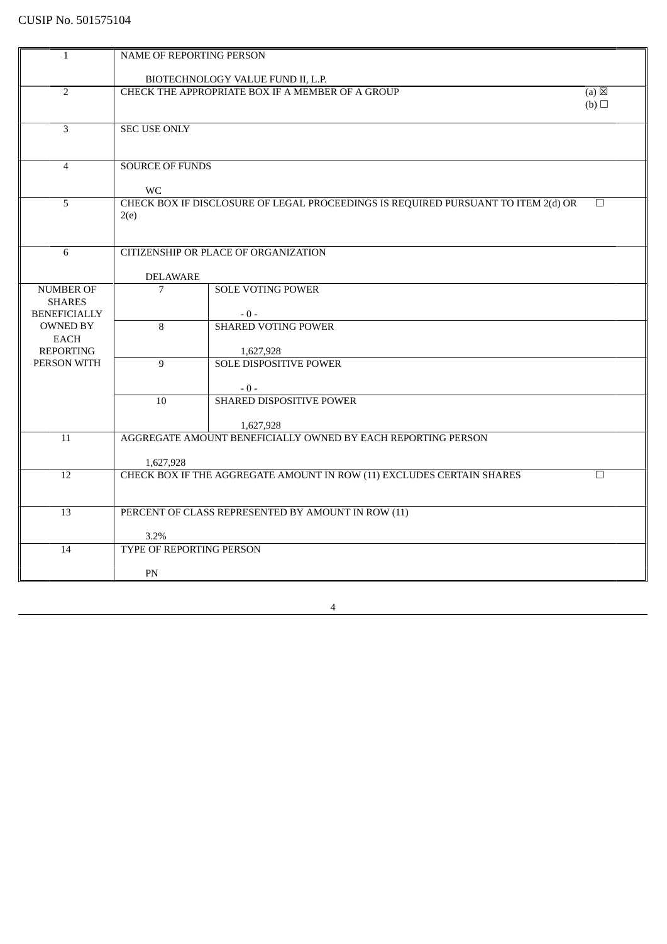| $\mathbf{1}$                           | NAME OF REPORTING PERSON                                                                     |                                                                                   |        |  |
|----------------------------------------|----------------------------------------------------------------------------------------------|-----------------------------------------------------------------------------------|--------|--|
|                                        |                                                                                              | BIOTECHNOLOGY VALUE FUND II, L.P.                                                 |        |  |
| $\overline{2}$                         | CHECK THE APPROPRIATE BOX IF A MEMBER OF A GROUP<br>$(a) \boxtimes$                          |                                                                                   |        |  |
|                                        |                                                                                              |                                                                                   | (b)    |  |
| 3                                      | <b>SEC USE ONLY</b>                                                                          |                                                                                   |        |  |
|                                        |                                                                                              |                                                                                   |        |  |
|                                        |                                                                                              |                                                                                   |        |  |
| $\overline{4}$                         | <b>SOURCE OF FUNDS</b>                                                                       |                                                                                   |        |  |
|                                        | <b>WC</b>                                                                                    |                                                                                   |        |  |
| 5                                      |                                                                                              | CHECK BOX IF DISCLOSURE OF LEGAL PROCEEDINGS IS REQUIRED PURSUANT TO ITEM 2(d) OR | $\Box$ |  |
|                                        | 2(e)                                                                                         |                                                                                   |        |  |
|                                        |                                                                                              |                                                                                   |        |  |
| 6                                      |                                                                                              | CITIZENSHIP OR PLACE OF ORGANIZATION                                              |        |  |
|                                        | <b>DELAWARE</b>                                                                              |                                                                                   |        |  |
| <b>NUMBER OF</b>                       | $\overline{7}$                                                                               | <b>SOLE VOTING POWER</b>                                                          |        |  |
| <b>SHARES</b>                          |                                                                                              |                                                                                   |        |  |
| <b>BENEFICIALLY</b><br><b>OWNED BY</b> | 8                                                                                            | $-0-$<br><b>SHARED VOTING POWER</b>                                               |        |  |
| <b>EACH</b>                            |                                                                                              |                                                                                   |        |  |
| <b>REPORTING</b>                       |                                                                                              | 1,627,928                                                                         |        |  |
| PERSON WITH                            | 9                                                                                            | <b>SOLE DISPOSITIVE POWER</b>                                                     |        |  |
|                                        |                                                                                              | $-0-$                                                                             |        |  |
|                                        | 10                                                                                           | SHARED DISPOSITIVE POWER                                                          |        |  |
|                                        |                                                                                              | 1,627,928                                                                         |        |  |
| 11                                     |                                                                                              | AGGREGATE AMOUNT BENEFICIALLY OWNED BY EACH REPORTING PERSON                      |        |  |
|                                        |                                                                                              |                                                                                   |        |  |
| 12                                     | 1,627,928<br>CHECK BOX IF THE AGGREGATE AMOUNT IN ROW (11) EXCLUDES CERTAIN SHARES<br>$\Box$ |                                                                                   |        |  |
|                                        |                                                                                              |                                                                                   |        |  |
|                                        |                                                                                              |                                                                                   |        |  |
| 13                                     |                                                                                              | PERCENT OF CLASS REPRESENTED BY AMOUNT IN ROW (11)                                |        |  |
|                                        | 3.2%                                                                                         |                                                                                   |        |  |
| 14                                     | TYPE OF REPORTING PERSON                                                                     |                                                                                   |        |  |
|                                        | PN                                                                                           |                                                                                   |        |  |
|                                        |                                                                                              |                                                                                   |        |  |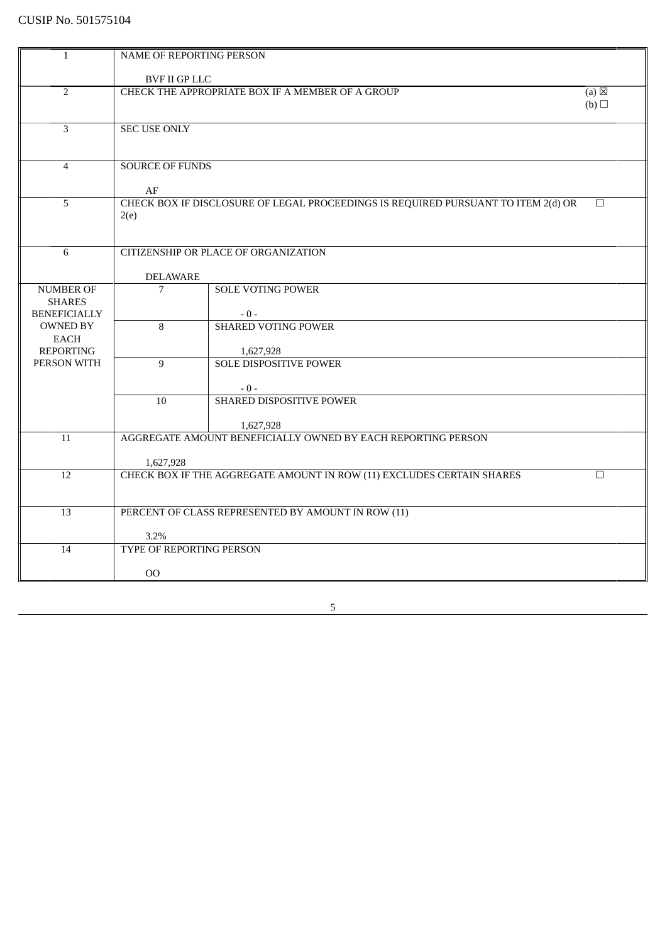| $\mathbf{1}$        | NAME OF REPORTING PERSON                                                        |                                                                                   |        |
|---------------------|---------------------------------------------------------------------------------|-----------------------------------------------------------------------------------|--------|
|                     |                                                                                 |                                                                                   |        |
|                     | <b>BVF II GP LLC</b>                                                            |                                                                                   |        |
| $\overline{2}$      | CHECK THE APPROPRIATE BOX IF A MEMBER OF A GROUP<br>$(a) \boxtimes$             |                                                                                   |        |
|                     |                                                                                 |                                                                                   | (b)    |
|                     |                                                                                 |                                                                                   |        |
| 3                   | <b>SEC USE ONLY</b>                                                             |                                                                                   |        |
|                     |                                                                                 |                                                                                   |        |
|                     |                                                                                 |                                                                                   |        |
| $\overline{4}$      | <b>SOURCE OF FUNDS</b>                                                          |                                                                                   |        |
|                     |                                                                                 |                                                                                   |        |
|                     | AF                                                                              |                                                                                   |        |
| 5                   |                                                                                 | CHECK BOX IF DISCLOSURE OF LEGAL PROCEEDINGS IS REQUIRED PURSUANT TO ITEM 2(d) OR | $\Box$ |
|                     | 2(e)                                                                            |                                                                                   |        |
|                     |                                                                                 |                                                                                   |        |
|                     |                                                                                 |                                                                                   |        |
| 6                   |                                                                                 | CITIZENSHIP OR PLACE OF ORGANIZATION                                              |        |
|                     |                                                                                 |                                                                                   |        |
|                     | <b>DELAWARE</b>                                                                 |                                                                                   |        |
| <b>NUMBER OF</b>    | 7                                                                               | <b>SOLE VOTING POWER</b>                                                          |        |
| <b>SHARES</b>       |                                                                                 |                                                                                   |        |
| <b>BENEFICIALLY</b> |                                                                                 | $-0-$                                                                             |        |
| <b>OWNED BY</b>     | 8                                                                               | <b>SHARED VOTING POWER</b>                                                        |        |
| EACH                |                                                                                 |                                                                                   |        |
| <b>REPORTING</b>    |                                                                                 | 1,627,928                                                                         |        |
| PERSON WITH         | 9                                                                               | <b>SOLE DISPOSITIVE POWER</b>                                                     |        |
|                     |                                                                                 |                                                                                   |        |
|                     |                                                                                 | $-0-$                                                                             |        |
|                     | 10                                                                              | SHARED DISPOSITIVE POWER                                                          |        |
|                     |                                                                                 |                                                                                   |        |
|                     |                                                                                 | 1,627,928                                                                         |        |
| 11                  |                                                                                 | AGGREGATE AMOUNT BENEFICIALLY OWNED BY EACH REPORTING PERSON                      |        |
|                     |                                                                                 |                                                                                   |        |
|                     | 1,627,928                                                                       |                                                                                   |        |
| 12                  | CHECK BOX IF THE AGGREGATE AMOUNT IN ROW (11) EXCLUDES CERTAIN SHARES<br>$\Box$ |                                                                                   |        |
|                     |                                                                                 |                                                                                   |        |
|                     |                                                                                 |                                                                                   |        |
| 13                  |                                                                                 | PERCENT OF CLASS REPRESENTED BY AMOUNT IN ROW (11)                                |        |
|                     |                                                                                 |                                                                                   |        |
|                     | 3.2%<br><b>TYPE OF REPORTING PERSON</b>                                         |                                                                                   |        |
| 14                  |                                                                                 |                                                                                   |        |
|                     |                                                                                 |                                                                                   |        |
|                     | $00\,$                                                                          |                                                                                   |        |

 $\sim$  5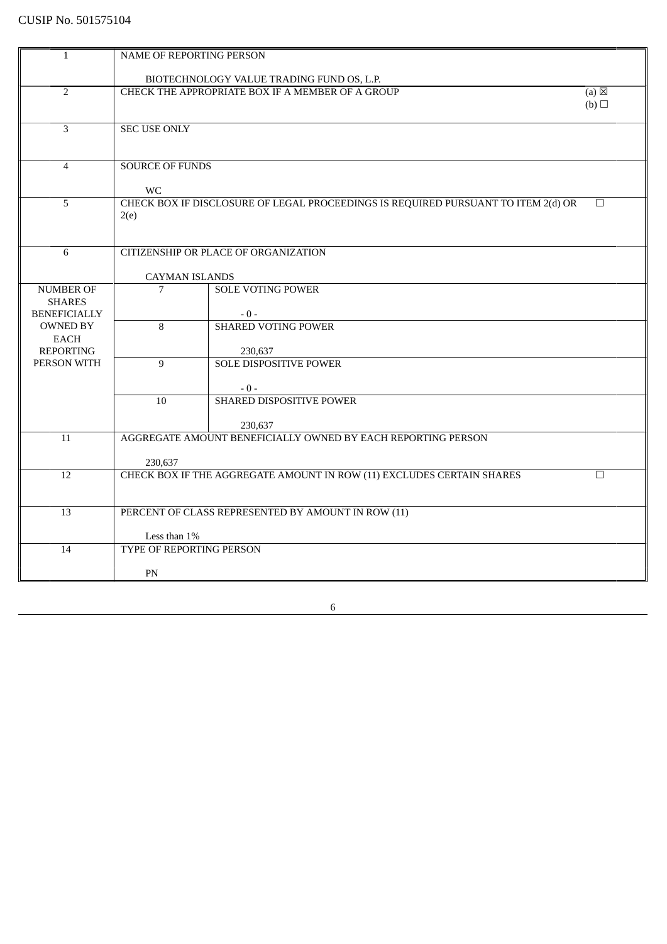| $\mathbf{1}$             | NAME OF REPORTING PERSON                                                        |                                                                                   |                 |
|--------------------------|---------------------------------------------------------------------------------|-----------------------------------------------------------------------------------|-----------------|
|                          | BIOTECHNOLOGY VALUE TRADING FUND OS, L.P.                                       |                                                                                   |                 |
| $\overline{2}$           |                                                                                 | CHECK THE APPROPRIATE BOX IF A MEMBER OF A GROUP                                  | $(a) \boxtimes$ |
|                          | (b)                                                                             |                                                                                   |                 |
|                          |                                                                                 |                                                                                   |                 |
| 3                        | <b>SEC USE ONLY</b>                                                             |                                                                                   |                 |
|                          |                                                                                 |                                                                                   |                 |
|                          |                                                                                 |                                                                                   |                 |
| $\overline{4}$           | <b>SOURCE OF FUNDS</b>                                                          |                                                                                   |                 |
|                          | <b>WC</b>                                                                       |                                                                                   |                 |
| 5                        |                                                                                 | CHECK BOX IF DISCLOSURE OF LEGAL PROCEEDINGS IS REQUIRED PURSUANT TO ITEM 2(d) OR | $\Box$          |
|                          | 2(e)                                                                            |                                                                                   |                 |
|                          |                                                                                 |                                                                                   |                 |
|                          |                                                                                 |                                                                                   |                 |
| 6                        |                                                                                 | CITIZENSHIP OR PLACE OF ORGANIZATION                                              |                 |
|                          | <b>CAYMAN ISLANDS</b>                                                           |                                                                                   |                 |
| <b>NUMBER OF</b>         | 7                                                                               | <b>SOLE VOTING POWER</b>                                                          |                 |
| <b>SHARES</b>            |                                                                                 |                                                                                   |                 |
| <b>BENEFICIALLY</b>      |                                                                                 | $-0-$                                                                             |                 |
| <b>OWNED BY</b>          | 8                                                                               | <b>SHARED VOTING POWER</b>                                                        |                 |
| EACH<br><b>REPORTING</b> |                                                                                 | 230,637                                                                           |                 |
| PERSON WITH              | 9                                                                               | <b>SOLE DISPOSITIVE POWER</b>                                                     |                 |
|                          |                                                                                 |                                                                                   |                 |
|                          |                                                                                 | $-0-$                                                                             |                 |
|                          | 10                                                                              | SHARED DISPOSITIVE POWER                                                          |                 |
|                          |                                                                                 |                                                                                   |                 |
| 11                       |                                                                                 | 230,637<br>AGGREGATE AMOUNT BENEFICIALLY OWNED BY EACH REPORTING PERSON           |                 |
|                          |                                                                                 |                                                                                   |                 |
|                          | 230,637                                                                         |                                                                                   |                 |
| 12                       | CHECK BOX IF THE AGGREGATE AMOUNT IN ROW (11) EXCLUDES CERTAIN SHARES<br>$\Box$ |                                                                                   |                 |
|                          |                                                                                 |                                                                                   |                 |
| 13                       |                                                                                 | PERCENT OF CLASS REPRESENTED BY AMOUNT IN ROW (11)                                |                 |
|                          |                                                                                 |                                                                                   |                 |
|                          | Less than $1\%$                                                                 |                                                                                   |                 |
| 14                       | TYPE OF REPORTING PERSON                                                        |                                                                                   |                 |
|                          |                                                                                 |                                                                                   |                 |
|                          | $\mathbf{PN}$                                                                   |                                                                                   |                 |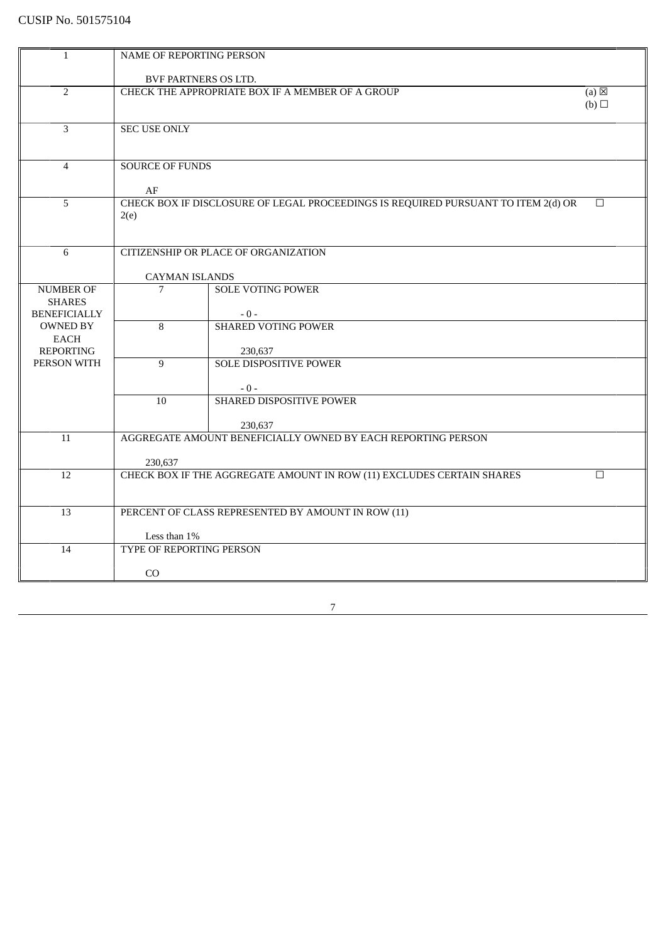| $\mathbf{1}$                         | NAME OF REPORTING PERSON                                                                            |                                                                         |  |  |
|--------------------------------------|-----------------------------------------------------------------------------------------------------|-------------------------------------------------------------------------|--|--|
|                                      | BVF PARTNERS OS LTD.                                                                                |                                                                         |  |  |
| $\overline{2}$                       | CHECK THE APPROPRIATE BOX IF A MEMBER OF A GROUP<br>(a)<br>(b)                                      |                                                                         |  |  |
| 3                                    | <b>SEC USE ONLY</b>                                                                                 |                                                                         |  |  |
| $\overline{4}$                       | AF                                                                                                  | <b>SOURCE OF FUNDS</b>                                                  |  |  |
| $\overline{5}$                       | CHECK BOX IF DISCLOSURE OF LEGAL PROCEEDINGS IS REQUIRED PURSUANT TO ITEM 2(d) OR<br>$\Box$<br>2(e) |                                                                         |  |  |
| 6                                    | CITIZENSHIP OR PLACE OF ORGANIZATION                                                                |                                                                         |  |  |
|                                      | <b>CAYMAN ISLANDS</b>                                                                               |                                                                         |  |  |
| <b>NUMBER OF</b>                     | 7                                                                                                   | <b>SOLE VOTING POWER</b>                                                |  |  |
| <b>SHARES</b><br><b>BENEFICIALLY</b> |                                                                                                     |                                                                         |  |  |
| <b>OWNED BY</b>                      | $\overline{8}$                                                                                      | $-0-$<br><b>SHARED VOTING POWER</b>                                     |  |  |
| EACH                                 |                                                                                                     |                                                                         |  |  |
| <b>REPORTING</b>                     |                                                                                                     | 230,637                                                                 |  |  |
| PERSON WITH                          | $\overline{9}$                                                                                      | <b>SOLE DISPOSITIVE POWER</b>                                           |  |  |
|                                      |                                                                                                     |                                                                         |  |  |
|                                      |                                                                                                     | $-0-$                                                                   |  |  |
|                                      | 10                                                                                                  | SHARED DISPOSITIVE POWER                                                |  |  |
|                                      |                                                                                                     |                                                                         |  |  |
|                                      |                                                                                                     | 230,637<br>AGGREGATE AMOUNT BENEFICIALLY OWNED BY EACH REPORTING PERSON |  |  |
| 11                                   |                                                                                                     |                                                                         |  |  |
|                                      | 230,637                                                                                             |                                                                         |  |  |
| 12                                   | CHECK BOX IF THE AGGREGATE AMOUNT IN ROW (11) EXCLUDES CERTAIN SHARES<br>$\Box$                     |                                                                         |  |  |
|                                      |                                                                                                     |                                                                         |  |  |
| 13                                   |                                                                                                     | PERCENT OF CLASS REPRESENTED BY AMOUNT IN ROW (11)                      |  |  |
|                                      |                                                                                                     |                                                                         |  |  |
|                                      | Less than 1%                                                                                        |                                                                         |  |  |
| 14                                   | TYPE OF REPORTING PERSON                                                                            |                                                                         |  |  |
|                                      | CO                                                                                                  |                                                                         |  |  |
|                                      |                                                                                                     |                                                                         |  |  |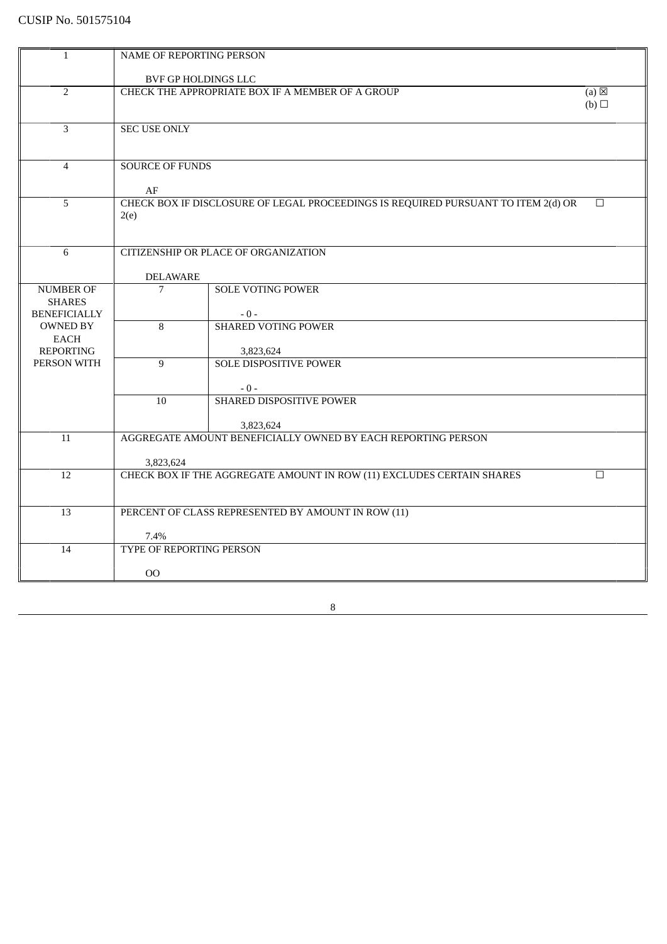| $\mathbf{1}$            | NAME OF REPORTING PERSON                                            |                                                                                   |        |
|-------------------------|---------------------------------------------------------------------|-----------------------------------------------------------------------------------|--------|
|                         | BVF GP HOLDINGS LLC                                                 |                                                                                   |        |
| $\overline{2}$          | CHECK THE APPROPRIATE BOX IF A MEMBER OF A GROUP<br>$(a) \boxtimes$ |                                                                                   |        |
|                         |                                                                     |                                                                                   | (b)    |
|                         |                                                                     |                                                                                   |        |
| 3                       | <b>SEC USE ONLY</b>                                                 |                                                                                   |        |
|                         |                                                                     |                                                                                   |        |
| $\overline{4}$          | <b>SOURCE OF FUNDS</b>                                              |                                                                                   |        |
|                         |                                                                     |                                                                                   |        |
|                         | AF                                                                  |                                                                                   |        |
| 5                       |                                                                     | CHECK BOX IF DISCLOSURE OF LEGAL PROCEEDINGS IS REQUIRED PURSUANT TO ITEM 2(d) OR | $\Box$ |
|                         | 2(e)                                                                |                                                                                   |        |
|                         |                                                                     |                                                                                   |        |
| 6                       |                                                                     | CITIZENSHIP OR PLACE OF ORGANIZATION                                              |        |
|                         |                                                                     |                                                                                   |        |
|                         | <b>DELAWARE</b>                                                     |                                                                                   |        |
| <b>NUMBER OF</b>        | 7                                                                   | <b>SOLE VOTING POWER</b>                                                          |        |
| <b>SHARES</b>           |                                                                     |                                                                                   |        |
| <b>BENEFICIALLY</b>     |                                                                     | $-0-$                                                                             |        |
| <b>OWNED BY</b><br>EACH | 8                                                                   | <b>SHARED VOTING POWER</b>                                                        |        |
| <b>REPORTING</b>        |                                                                     | 3,823,624                                                                         |        |
| PERSON WITH             | $\overline{9}$                                                      | <b>SOLE DISPOSITIVE POWER</b>                                                     |        |
|                         |                                                                     |                                                                                   |        |
|                         |                                                                     | $-0-$                                                                             |        |
|                         | 10                                                                  | SHARED DISPOSITIVE POWER                                                          |        |
|                         |                                                                     |                                                                                   |        |
| 11                      |                                                                     | 3,823,624<br>AGGREGATE AMOUNT BENEFICIALLY OWNED BY EACH REPORTING PERSON         |        |
|                         |                                                                     |                                                                                   |        |
|                         | 3,823,624                                                           |                                                                                   |        |
| 12                      |                                                                     | CHECK BOX IF THE AGGREGATE AMOUNT IN ROW (11) EXCLUDES CERTAIN SHARES             | $\Box$ |
|                         |                                                                     |                                                                                   |        |
| 13                      |                                                                     | PERCENT OF CLASS REPRESENTED BY AMOUNT IN ROW (11)                                |        |
|                         |                                                                     |                                                                                   |        |
|                         | 7.4%                                                                |                                                                                   |        |
| 14                      | TYPE OF REPORTING PERSON                                            |                                                                                   |        |
|                         |                                                                     |                                                                                   |        |
|                         | $_{\rm OO}$                                                         |                                                                                   |        |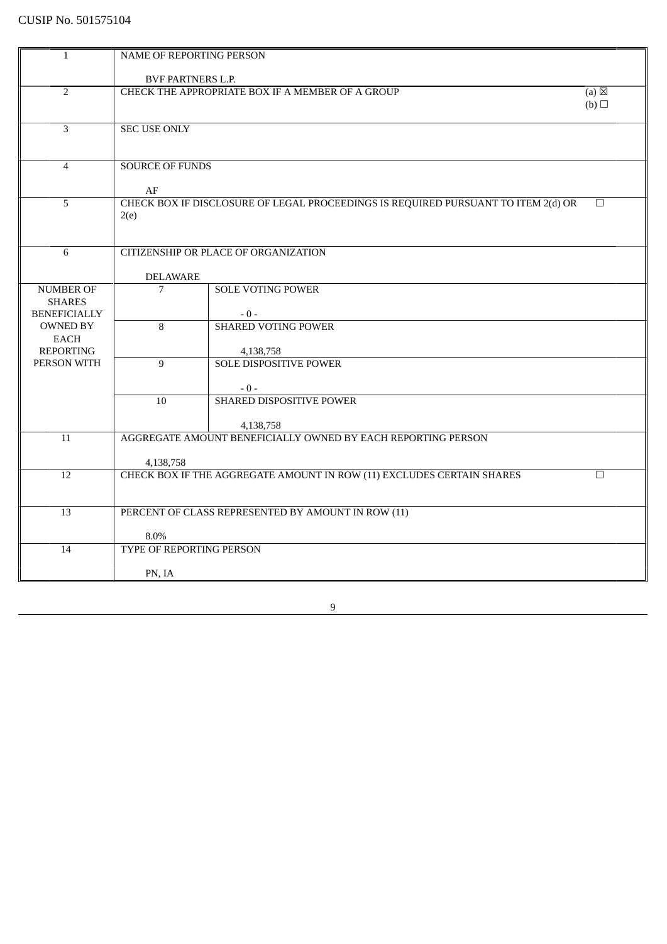| $\mathbf{1}$                      | NAME OF REPORTING PERSON                                            |                                                                                   |        |
|-----------------------------------|---------------------------------------------------------------------|-----------------------------------------------------------------------------------|--------|
|                                   | <b>BVF PARTNERS L.P.</b>                                            |                                                                                   |        |
| $\overline{2}$                    | CHECK THE APPROPRIATE BOX IF A MEMBER OF A GROUP<br>$(a) \boxtimes$ |                                                                                   |        |
|                                   |                                                                     |                                                                                   | (b)    |
|                                   |                                                                     |                                                                                   |        |
| 3                                 | <b>SEC USE ONLY</b>                                                 |                                                                                   |        |
|                                   |                                                                     |                                                                                   |        |
| $\overline{4}$                    | <b>SOURCE OF FUNDS</b>                                              |                                                                                   |        |
|                                   |                                                                     |                                                                                   |        |
|                                   | AF                                                                  |                                                                                   |        |
| 5                                 |                                                                     | CHECK BOX IF DISCLOSURE OF LEGAL PROCEEDINGS IS REQUIRED PURSUANT TO ITEM 2(d) OR | $\Box$ |
|                                   | 2(e)                                                                |                                                                                   |        |
|                                   |                                                                     |                                                                                   |        |
| 6                                 |                                                                     | CITIZENSHIP OR PLACE OF ORGANIZATION                                              |        |
|                                   |                                                                     |                                                                                   |        |
|                                   | <b>DELAWARE</b>                                                     |                                                                                   |        |
| <b>NUMBER OF</b><br><b>SHARES</b> | 7                                                                   | <b>SOLE VOTING POWER</b>                                                          |        |
| <b>BENEFICIALLY</b>               |                                                                     | $-0-$                                                                             |        |
| <b>OWNED BY</b>                   | 8                                                                   | <b>SHARED VOTING POWER</b>                                                        |        |
| EACH                              |                                                                     |                                                                                   |        |
| <b>REPORTING</b>                  |                                                                     | 4,138,758                                                                         |        |
| PERSON WITH                       | 9                                                                   | <b>SOLE DISPOSITIVE POWER</b>                                                     |        |
|                                   |                                                                     | $-0-$                                                                             |        |
|                                   | 10                                                                  | SHARED DISPOSITIVE POWER                                                          |        |
|                                   |                                                                     |                                                                                   |        |
|                                   |                                                                     | 4,138,758                                                                         |        |
| 11                                |                                                                     | AGGREGATE AMOUNT BENEFICIALLY OWNED BY EACH REPORTING PERSON                      |        |
|                                   | 4,138,758                                                           |                                                                                   |        |
| 12                                |                                                                     | CHECK BOX IF THE AGGREGATE AMOUNT IN ROW (11) EXCLUDES CERTAIN SHARES             | $\Box$ |
|                                   |                                                                     |                                                                                   |        |
| 13                                |                                                                     | PERCENT OF CLASS REPRESENTED BY AMOUNT IN ROW (11)                                |        |
|                                   |                                                                     |                                                                                   |        |
|                                   | 8.0%                                                                |                                                                                   |        |
| 14                                | TYPE OF REPORTING PERSON                                            |                                                                                   |        |
|                                   |                                                                     |                                                                                   |        |
|                                   | PN, IA                                                              |                                                                                   |        |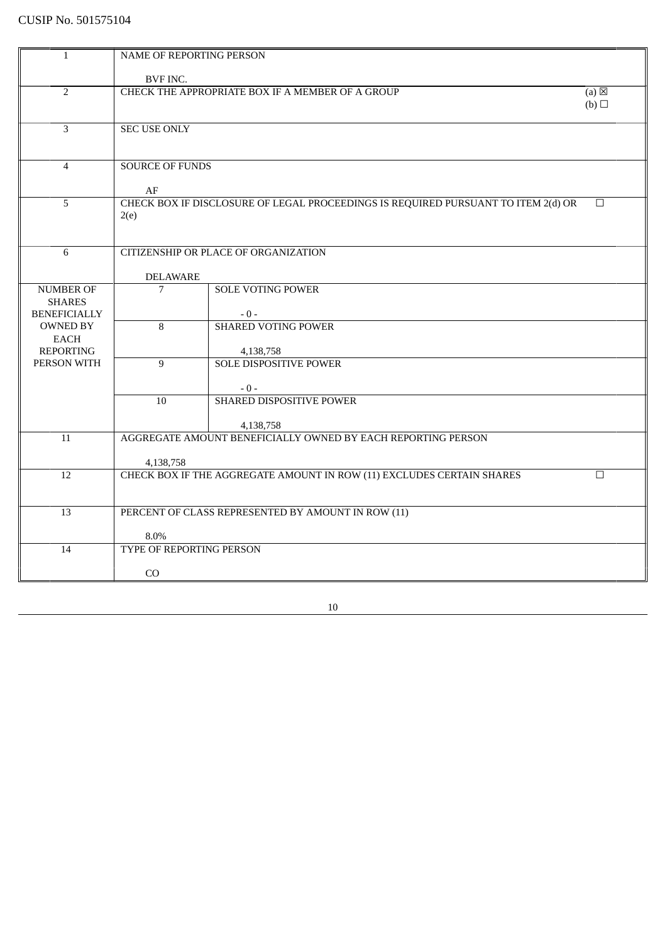| $\mathbf{1}$                         | NAME OF REPORTING PERSON                                                        |                                                                                   |        |
|--------------------------------------|---------------------------------------------------------------------------------|-----------------------------------------------------------------------------------|--------|
|                                      | BVF INC.                                                                        |                                                                                   |        |
| $\overline{2}$                       | CHECK THE APPROPRIATE BOX IF A MEMBER OF A GROUP<br>$(a) \boxtimes$             |                                                                                   |        |
|                                      |                                                                                 |                                                                                   | (b)    |
|                                      |                                                                                 |                                                                                   |        |
| 3                                    | <b>SEC USE ONLY</b>                                                             |                                                                                   |        |
|                                      |                                                                                 |                                                                                   |        |
| $\overline{4}$                       | <b>SOURCE OF FUNDS</b>                                                          |                                                                                   |        |
|                                      |                                                                                 |                                                                                   |        |
| 5                                    | AF                                                                              | CHECK BOX IF DISCLOSURE OF LEGAL PROCEEDINGS IS REQUIRED PURSUANT TO ITEM 2(d) OR | $\Box$ |
|                                      | 2(e)                                                                            |                                                                                   |        |
|                                      |                                                                                 |                                                                                   |        |
| 6                                    |                                                                                 | CITIZENSHIP OR PLACE OF ORGANIZATION                                              |        |
|                                      |                                                                                 |                                                                                   |        |
|                                      | <b>DELAWARE</b>                                                                 |                                                                                   |        |
| <b>NUMBER OF</b>                     | $\overline{7}$                                                                  | <b>SOLE VOTING POWER</b>                                                          |        |
| <b>SHARES</b><br><b>BENEFICIALLY</b> |                                                                                 | $-0-$                                                                             |        |
| <b>OWNED BY</b>                      | 8                                                                               | <b>SHARED VOTING POWER</b>                                                        |        |
| <b>EACH</b>                          |                                                                                 |                                                                                   |        |
| <b>REPORTING</b>                     |                                                                                 | 4,138,758                                                                         |        |
| PERSON WITH                          | 9                                                                               | <b>SOLE DISPOSITIVE POWER</b>                                                     |        |
|                                      |                                                                                 | $-0-$                                                                             |        |
|                                      | 10                                                                              | SHARED DISPOSITIVE POWER                                                          |        |
|                                      |                                                                                 |                                                                                   |        |
| 11                                   |                                                                                 | 4,138,758<br>AGGREGATE AMOUNT BENEFICIALLY OWNED BY EACH REPORTING PERSON         |        |
|                                      |                                                                                 |                                                                                   |        |
|                                      | 4,138,758                                                                       |                                                                                   |        |
| $\overline{12}$                      | CHECK BOX IF THE AGGREGATE AMOUNT IN ROW (11) EXCLUDES CERTAIN SHARES<br>$\Box$ |                                                                                   |        |
|                                      |                                                                                 |                                                                                   |        |
| 13                                   |                                                                                 | PERCENT OF CLASS REPRESENTED BY AMOUNT IN ROW (11)                                |        |
|                                      |                                                                                 |                                                                                   |        |
|                                      | 8.0%<br>TYPE OF REPORTING PERSON                                                |                                                                                   |        |
| 14                                   |                                                                                 |                                                                                   |        |
|                                      | C <sub>O</sub>                                                                  |                                                                                   |        |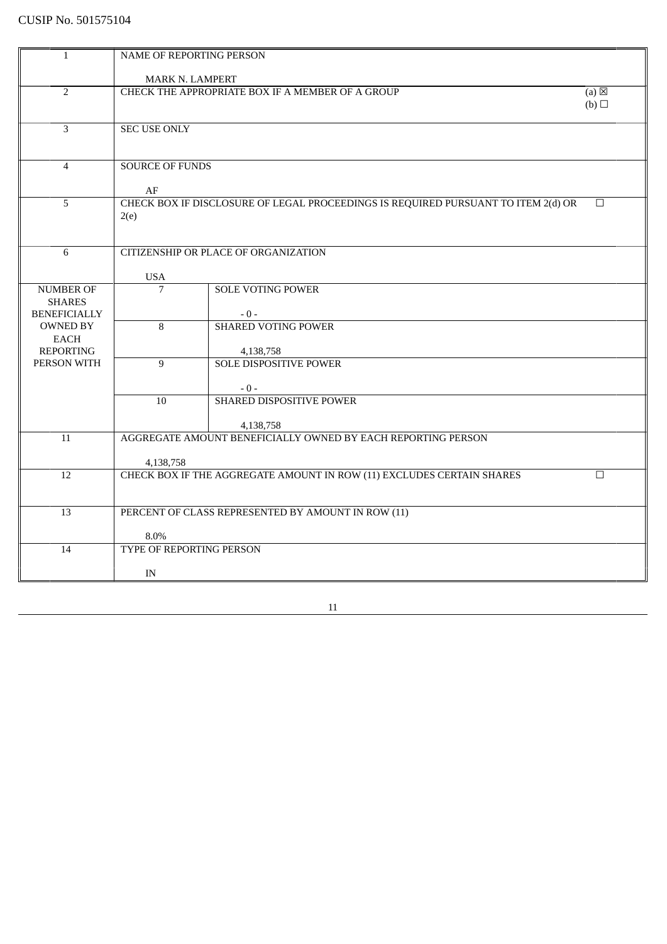| $\mathbf{1}$                      | NAME OF REPORTING PERSON                                            |                                                                                   |        |
|-----------------------------------|---------------------------------------------------------------------|-----------------------------------------------------------------------------------|--------|
|                                   | MARK N. LAMPERT                                                     |                                                                                   |        |
| $\overline{2}$                    | CHECK THE APPROPRIATE BOX IF A MEMBER OF A GROUP<br>$(a) \boxtimes$ |                                                                                   |        |
|                                   |                                                                     |                                                                                   | (b)    |
|                                   |                                                                     |                                                                                   |        |
| 3                                 | <b>SEC USE ONLY</b>                                                 |                                                                                   |        |
|                                   |                                                                     |                                                                                   |        |
| $\overline{4}$                    | <b>SOURCE OF FUNDS</b>                                              |                                                                                   |        |
|                                   |                                                                     |                                                                                   |        |
|                                   | AF                                                                  |                                                                                   |        |
| 5                                 |                                                                     | CHECK BOX IF DISCLOSURE OF LEGAL PROCEEDINGS IS REQUIRED PURSUANT TO ITEM 2(d) OR | $\Box$ |
|                                   | 2(e)                                                                |                                                                                   |        |
|                                   |                                                                     |                                                                                   |        |
| 6                                 |                                                                     | CITIZENSHIP OR PLACE OF ORGANIZATION                                              |        |
|                                   |                                                                     |                                                                                   |        |
|                                   | <b>USA</b>                                                          |                                                                                   |        |
| <b>NUMBER OF</b><br><b>SHARES</b> | 7                                                                   | <b>SOLE VOTING POWER</b>                                                          |        |
| <b>BENEFICIALLY</b>               |                                                                     | $-0-$                                                                             |        |
| <b>OWNED BY</b>                   | $\overline{8}$                                                      | <b>SHARED VOTING POWER</b>                                                        |        |
| <b>EACH</b>                       |                                                                     |                                                                                   |        |
| <b>REPORTING</b>                  |                                                                     | 4,138,758                                                                         |        |
| PERSON WITH                       | 9                                                                   | <b>SOLE DISPOSITIVE POWER</b>                                                     |        |
|                                   |                                                                     | $-0-$                                                                             |        |
|                                   | 10 <sup>1</sup>                                                     | SHARED DISPOSITIVE POWER                                                          |        |
|                                   |                                                                     |                                                                                   |        |
|                                   |                                                                     | 4,138,758                                                                         |        |
| 11                                |                                                                     | AGGREGATE AMOUNT BENEFICIALLY OWNED BY EACH REPORTING PERSON                      |        |
|                                   | 4,138,758                                                           |                                                                                   |        |
| 12                                |                                                                     | CHECK BOX IF THE AGGREGATE AMOUNT IN ROW (11) EXCLUDES CERTAIN SHARES             | $\Box$ |
|                                   |                                                                     |                                                                                   |        |
|                                   |                                                                     |                                                                                   |        |
| 13                                |                                                                     | PERCENT OF CLASS REPRESENTED BY AMOUNT IN ROW (11)                                |        |
|                                   | 8.0%                                                                |                                                                                   |        |
| 14                                | TYPE OF REPORTING PERSON                                            |                                                                                   |        |
|                                   |                                                                     |                                                                                   |        |
|                                   | IN                                                                  |                                                                                   |        |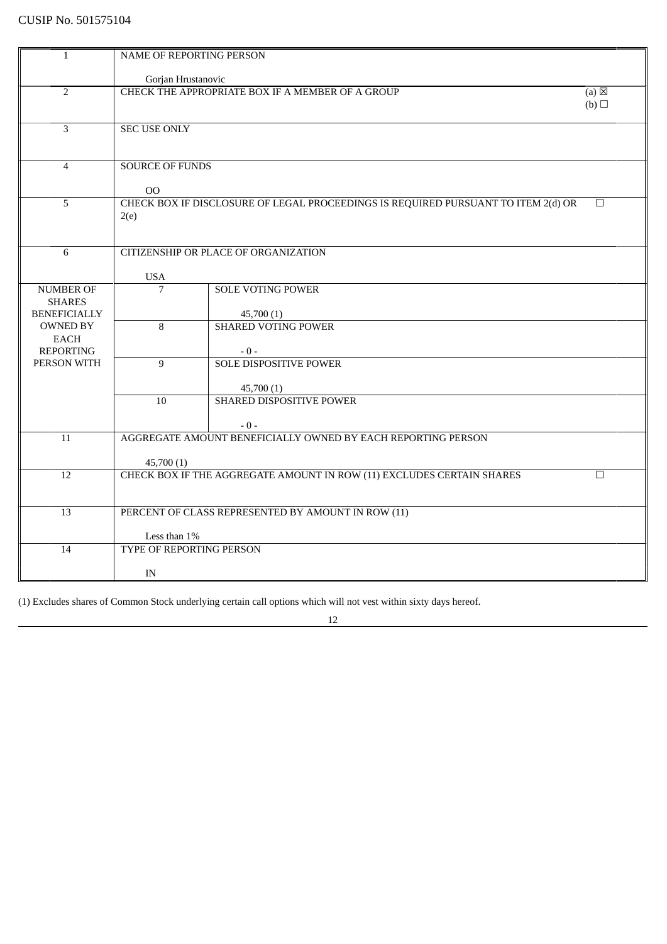| $\mathbf{1}$        | NAME OF REPORTING PERSON                                                   |                                                                                   |        |
|---------------------|----------------------------------------------------------------------------|-----------------------------------------------------------------------------------|--------|
|                     |                                                                            |                                                                                   |        |
|                     | Gorjan Hrustanovic                                                         |                                                                                   |        |
| $\overline{2}$      | CHECK THE APPROPRIATE BOX IF A MEMBER OF A GROUP<br>$(a) \boxtimes$        |                                                                                   |        |
|                     |                                                                            |                                                                                   | (b)    |
| 3                   | <b>SEC USE ONLY</b>                                                        |                                                                                   |        |
|                     |                                                                            |                                                                                   |        |
|                     |                                                                            |                                                                                   |        |
| $\overline{4}$      | <b>SOURCE OF FUNDS</b>                                                     |                                                                                   |        |
|                     |                                                                            |                                                                                   |        |
|                     | 00                                                                         |                                                                                   |        |
| 5                   |                                                                            | CHECK BOX IF DISCLOSURE OF LEGAL PROCEEDINGS IS REQUIRED PURSUANT TO ITEM 2(d) OR | $\Box$ |
|                     | 2(e)                                                                       |                                                                                   |        |
|                     |                                                                            |                                                                                   |        |
|                     |                                                                            |                                                                                   |        |
| 6                   |                                                                            | <b>CITIZENSHIP OR PLACE OF ORGANIZATION</b>                                       |        |
|                     | <b>USA</b>                                                                 |                                                                                   |        |
| NUMBER OF           | 7                                                                          | <b>SOLE VOTING POWER</b>                                                          |        |
| <b>SHARES</b>       |                                                                            |                                                                                   |        |
| <b>BENEFICIALLY</b> |                                                                            | 45,700 (1)                                                                        |        |
| <b>OWNED BY</b>     | 8                                                                          | <b>SHARED VOTING POWER</b>                                                        |        |
| <b>EACH</b>         |                                                                            |                                                                                   |        |
| <b>REPORTING</b>    |                                                                            | $-0-$                                                                             |        |
| PERSON WITH         | $\overline{9}$                                                             | <b>SOLE DISPOSITIVE POWER</b>                                                     |        |
|                     |                                                                            |                                                                                   |        |
|                     | 10                                                                         | 45,700(1)<br><b>SHARED DISPOSITIVE POWER</b>                                      |        |
|                     |                                                                            |                                                                                   |        |
|                     |                                                                            | $-0-$                                                                             |        |
| 11                  |                                                                            | AGGREGATE AMOUNT BENEFICIALLY OWNED BY EACH REPORTING PERSON                      |        |
|                     |                                                                            |                                                                                   |        |
|                     | 45,700 (1)                                                                 |                                                                                   |        |
| 12                  | CHECK BOX IF THE AGGREGATE AMOUNT IN ROW (11) EXCLUDES CERTAIN SHARES<br>□ |                                                                                   |        |
|                     |                                                                            |                                                                                   |        |
|                     |                                                                            |                                                                                   |        |
| 13                  |                                                                            | PERCENT OF CLASS REPRESENTED BY AMOUNT IN ROW (11)                                |        |
|                     | Less than 1%                                                               |                                                                                   |        |
| 14                  | <b>TYPE OF REPORTING PERSON</b>                                            |                                                                                   |        |
|                     |                                                                            |                                                                                   |        |
|                     | IN                                                                         |                                                                                   |        |
|                     |                                                                            |                                                                                   |        |

(1) Excludes shares of Common Stock underlying certain call options which will not vest within sixty days hereof.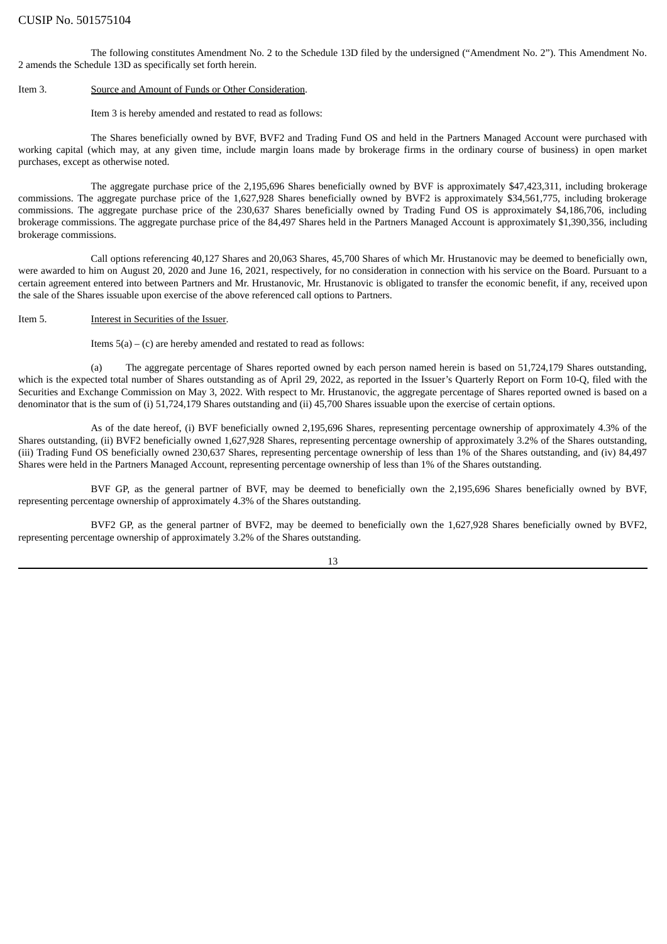The following constitutes Amendment No. 2 to the Schedule 13D filed by the undersigned ("Amendment No. 2"). This Amendment No. 2 amends the Schedule 13D as specifically set forth herein.

#### Item 3. Source and Amount of Funds or Other Consideration.

#### Item 3 is hereby amended and restated to read as follows:

The Shares beneficially owned by BVF, BVF2 and Trading Fund OS and held in the Partners Managed Account were purchased with working capital (which may, at any given time, include margin loans made by brokerage firms in the ordinary course of business) in open market purchases, except as otherwise noted.

The aggregate purchase price of the 2,195,696 Shares beneficially owned by BVF is approximately \$47,423,311, including brokerage commissions. The aggregate purchase price of the 1,627,928 Shares beneficially owned by BVF2 is approximately \$34,561,775, including brokerage commissions. The aggregate purchase price of the 230,637 Shares beneficially owned by Trading Fund OS is approximately \$4,186,706, including brokerage commissions. The aggregate purchase price of the 84,497 Shares held in the Partners Managed Account is approximately \$1,390,356, including brokerage commissions.

Call options referencing 40,127 Shares and 20,063 Shares, 45,700 Shares of which Mr. Hrustanovic may be deemed to beneficially own, were awarded to him on August 20, 2020 and June 16, 2021, respectively, for no consideration in connection with his service on the Board. Pursuant to a certain agreement entered into between Partners and Mr. Hrustanovic, Mr. Hrustanovic is obligated to transfer the economic benefit, if any, received upon the sale of the Shares issuable upon exercise of the above referenced call options to Partners.

#### Item 5. **Interest in Securities of the Issuer**.

Items  $5(a) - (c)$  are hereby amended and restated to read as follows:

(a) The aggregate percentage of Shares reported owned by each person named herein is based on 51,724,179 Shares outstanding, which is the expected total number of Shares outstanding as of April 29, 2022, as reported in the Issuer's Quarterly Report on Form 10-Q, filed with the Securities and Exchange Commission on May 3, 2022. With respect to Mr. Hrustanovic, the aggregate percentage of Shares reported owned is based on a denominator that is the sum of (i) 51,724,179 Shares outstanding and (ii) 45,700 Shares issuable upon the exercise of certain options.

As of the date hereof, (i) BVF beneficially owned 2,195,696 Shares, representing percentage ownership of approximately 4.3% of the Shares outstanding, (ii) BVF2 beneficially owned 1,627,928 Shares, representing percentage ownership of approximately 3.2% of the Shares outstanding, (iii) Trading Fund OS beneficially owned 230,637 Shares, representing percentage ownership of less than 1% of the Shares outstanding, and (iv) 84,497 Shares were held in the Partners Managed Account, representing percentage ownership of less than 1% of the Shares outstanding.

BVF GP, as the general partner of BVF, may be deemed to beneficially own the 2,195,696 Shares beneficially owned by BVF, representing percentage ownership of approximately 4.3% of the Shares outstanding.

BVF2 GP, as the general partner of BVF2, may be deemed to beneficially own the 1,627,928 Shares beneficially owned by BVF2, representing percentage ownership of approximately 3.2% of the Shares outstanding.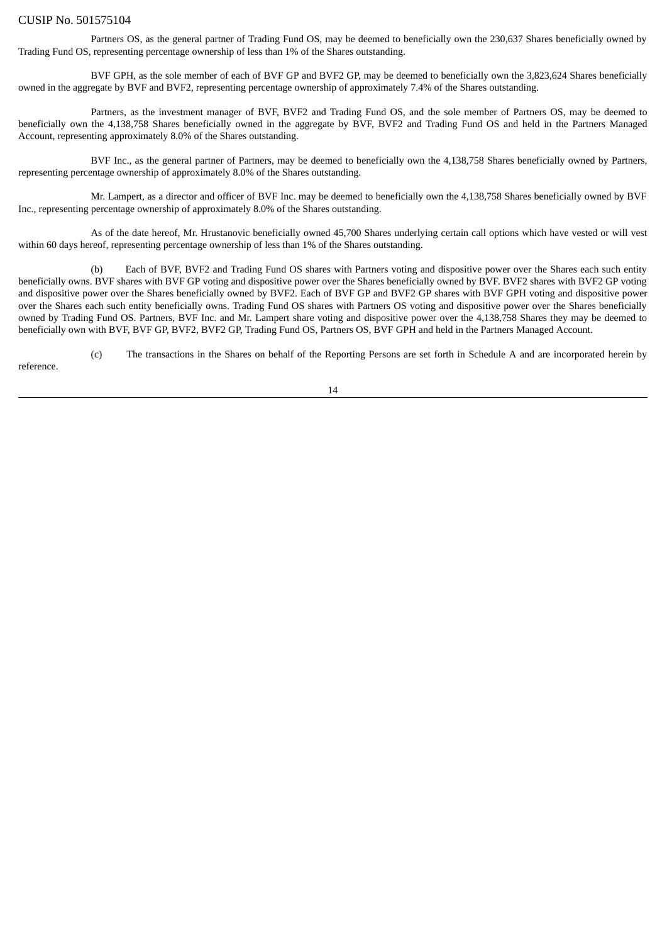Partners OS, as the general partner of Trading Fund OS, may be deemed to beneficially own the 230,637 Shares beneficially owned by Trading Fund OS, representing percentage ownership of less than 1% of the Shares outstanding.

BVF GPH, as the sole member of each of BVF GP and BVF2 GP, may be deemed to beneficially own the 3,823,624 Shares beneficially owned in the aggregate by BVF and BVF2, representing percentage ownership of approximately 7.4% of the Shares outstanding.

Partners, as the investment manager of BVF, BVF2 and Trading Fund OS, and the sole member of Partners OS, may be deemed to beneficially own the 4,138,758 Shares beneficially owned in the aggregate by BVF, BVF2 and Trading Fund OS and held in the Partners Managed Account, representing approximately 8.0% of the Shares outstanding.

BVF Inc., as the general partner of Partners, may be deemed to beneficially own the 4,138,758 Shares beneficially owned by Partners, representing percentage ownership of approximately 8.0% of the Shares outstanding.

Mr. Lampert, as a director and officer of BVF Inc. may be deemed to beneficially own the 4,138,758 Shares beneficially owned by BVF Inc., representing percentage ownership of approximately 8.0% of the Shares outstanding.

As of the date hereof, Mr. Hrustanovic beneficially owned 45,700 Shares underlying certain call options which have vested or will vest within 60 days hereof, representing percentage ownership of less than 1% of the Shares outstanding.

Each of BVF, BVF2 and Trading Fund OS shares with Partners voting and dispositive power over the Shares each such entity beneficially owns. BVF shares with BVF GP voting and dispositive power over the Shares beneficially owned by BVF. BVF2 shares with BVF2 GP voting and dispositive power over the Shares beneficially owned by BVF2. Each of BVF GP and BVF2 GP shares with BVF GPH voting and dispositive power over the Shares each such entity beneficially owns. Trading Fund OS shares with Partners OS voting and dispositive power over the Shares beneficially owned by Trading Fund OS. Partners, BVF Inc. and Mr. Lampert share voting and dispositive power over the 4,138,758 Shares they may be deemed to beneficially own with BVF, BVF GP, BVF2, BVF2 GP, Trading Fund OS, Partners OS, BVF GPH and held in the Partners Managed Account.

(c) The transactions in the Shares on behalf of the Reporting Persons are set forth in Schedule A and are incorporated herein by reference.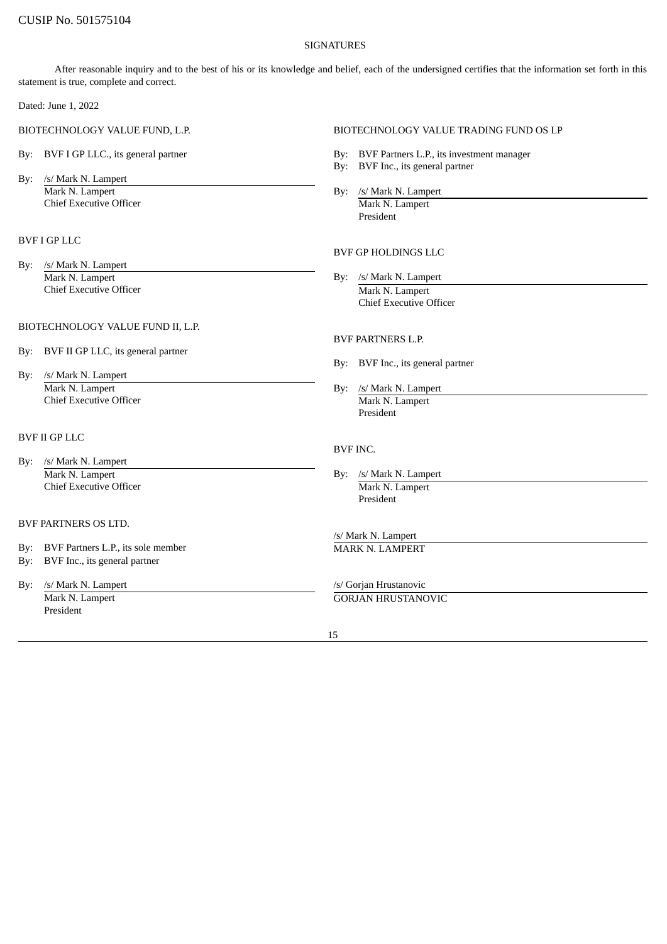#### **SIGNATURES**

After reasonable inquiry and to the best of his or its knowledge and belief, each of the undersigned certifies that the information set forth in this statement is true, complete and correct.

Dated: June 1, 2022

- 
- By: /s/ Mark N. Lampert Mark N. Lampert By: /s/ Mark N. Lampert **Chief Executive Officer** Mark N. Lampert

## BVF I GP LLC

By: /s/ Mark N. Lampert Mark N. Lampert By: /s/ Mark N. Lampert Chief Executive Officer Mark N. Lampert

#### BIOTECHNOLOGY VALUE FUND II, L.P.

- By: BVF II GP LLC, its general partner
- By: /s/ Mark N. Lampert Mark N. Lampert By: /s/ Mark N. Lampert Chief Executive Officer By: /s/ Mark N. Lampert Mark N. Lampert Chief Executive Officer

## BVF II GP LLC

- By: /s/ Mark N. Lampert Mark N. Lampert By: /s/ Mark N. Lampert Chief Executive Officer Mark N. Lampert
- BVF PARTNERS OS LTD.
- By: BVF Partners L.P., its sole member MARK N. LAMPERT
- By: BVF Inc., its general partner
- By: /s/ Mark N. Lampert /s/ Gorjan Hrustanovic President

#### BIOTECHNOLOGY VALUE FUND, L.P. BIOTECHNOLOGY VALUE TRADING FUND OS LP

- By: BVF I GP LLC., its general partner **By: BVF Partners L.P.**, its investment manager
	- By: BVF Inc., its general partner
	- - President

# BVF GP HOLDINGS LLC

Chief Executive Officer

### BVF PARTNERS L.P.

- By: BVF Inc., its general partner
- President

#### BVF INC.

President

/s/ Mark N. Lampert

Mark N. Lampert GORJAN HRUSTANOVIC